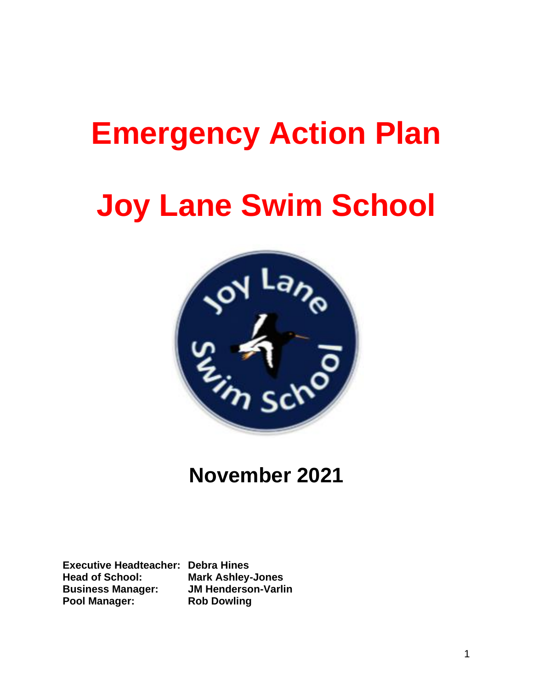## **Emergency Action Plan**

# **Joy Lane Swim School**



### **November 2021**

**Executive Headteacher: Debra Hines Head of School: Mark Ashley-Jones Business Manager: JM Henderson-Varlin Pool Manager: Rob Dowling**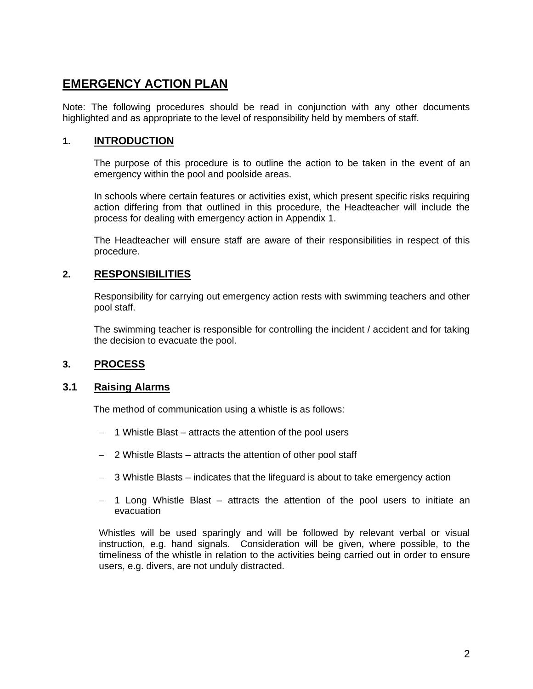### **EMERGENCY ACTION PLAN**

Note: The following procedures should be read in conjunction with any other documents highlighted and as appropriate to the level of responsibility held by members of staff.

#### **1. INTRODUCTION**

The purpose of this procedure is to outline the action to be taken in the event of an emergency within the pool and poolside areas.

In schools where certain features or activities exist, which present specific risks requiring action differing from that outlined in this procedure, the Headteacher will include the process for dealing with emergency action in Appendix 1.

The Headteacher will ensure staff are aware of their responsibilities in respect of this procedure.

#### **2. RESPONSIBILITIES**

Responsibility for carrying out emergency action rests with swimming teachers and other pool staff.

The swimming teacher is responsible for controlling the incident / accident and for taking the decision to evacuate the pool.

#### **3. PROCESS**

#### **3.1 Raising Alarms**

The method of communication using a whistle is as follows:

- − 1 Whistle Blast attracts the attention of the pool users
- − 2 Whistle Blasts attracts the attention of other pool staff
- − 3 Whistle Blasts indicates that the lifeguard is about to take emergency action
- − 1 Long Whistle Blast attracts the attention of the pool users to initiate an evacuation

Whistles will be used sparingly and will be followed by relevant verbal or visual instruction, e.g. hand signals. Consideration will be given, where possible, to the timeliness of the whistle in relation to the activities being carried out in order to ensure users, e.g. divers, are not unduly distracted.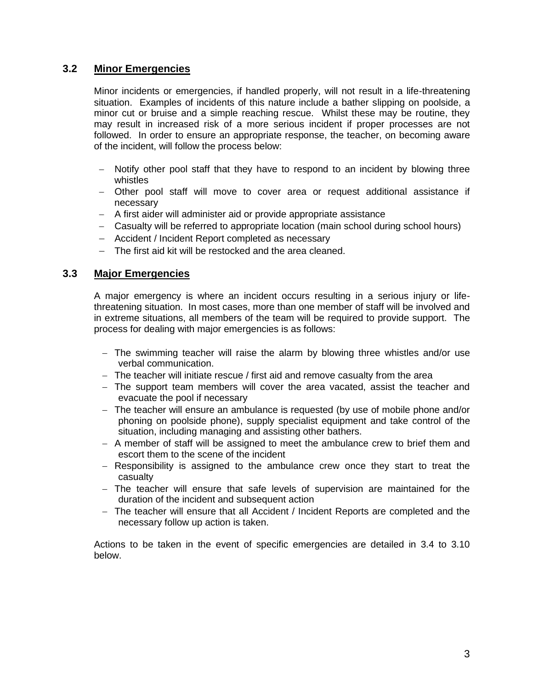#### **3.2 Minor Emergencies**

Minor incidents or emergencies, if handled properly, will not result in a life-threatening situation. Examples of incidents of this nature include a bather slipping on poolside, a minor cut or bruise and a simple reaching rescue. Whilst these may be routine, they may result in increased risk of a more serious incident if proper processes are not followed. In order to ensure an appropriate response, the teacher, on becoming aware of the incident, will follow the process below:

- − Notify other pool staff that they have to respond to an incident by blowing three whistles
- − Other pool staff will move to cover area or request additional assistance if necessary
- − A first aider will administer aid or provide appropriate assistance
- − Casualty will be referred to appropriate location (main school during school hours)
- − Accident / Incident Report completed as necessary
- − The first aid kit will be restocked and the area cleaned.

#### **3.3 Major Emergencies**

A major emergency is where an incident occurs resulting in a serious injury or lifethreatening situation. In most cases, more than one member of staff will be involved and in extreme situations, all members of the team will be required to provide support. The process for dealing with major emergencies is as follows:

- − The swimming teacher will raise the alarm by blowing three whistles and/or use verbal communication.
- − The teacher will initiate rescue / first aid and remove casualty from the area
- − The support team members will cover the area vacated, assist the teacher and evacuate the pool if necessary
- − The teacher will ensure an ambulance is requested (by use of mobile phone and/or phoning on poolside phone), supply specialist equipment and take control of the situation, including managing and assisting other bathers.
- − A member of staff will be assigned to meet the ambulance crew to brief them and escort them to the scene of the incident
- − Responsibility is assigned to the ambulance crew once they start to treat the casualty
- − The teacher will ensure that safe levels of supervision are maintained for the duration of the incident and subsequent action
- − The teacher will ensure that all Accident / Incident Reports are completed and the necessary follow up action is taken.

Actions to be taken in the event of specific emergencies are detailed in 3.4 to 3.10 below.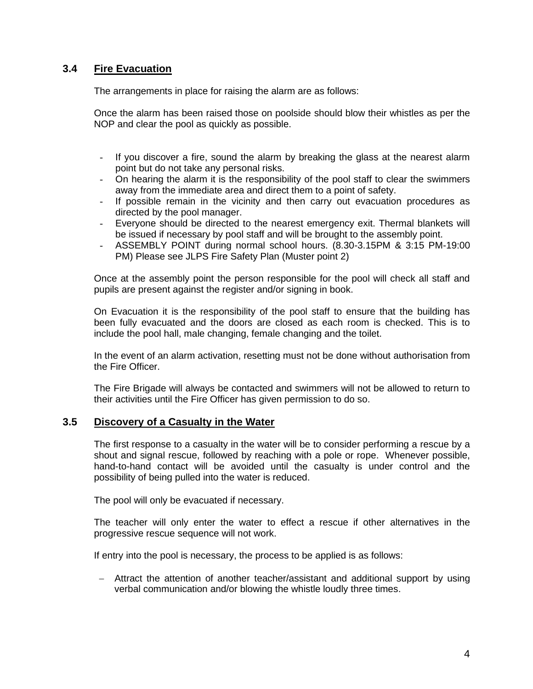#### **3.4 Fire Evacuation**

The arrangements in place for raising the alarm are as follows:

Once the alarm has been raised those on poolside should blow their whistles as per the NOP and clear the pool as quickly as possible.

- If you discover a fire, sound the alarm by breaking the glass at the nearest alarm point but do not take any personal risks.
- On hearing the alarm it is the responsibility of the pool staff to clear the swimmers away from the immediate area and direct them to a point of safety.
- If possible remain in the vicinity and then carry out evacuation procedures as directed by the pool manager.
- Everyone should be directed to the nearest emergency exit. Thermal blankets will be issued if necessary by pool staff and will be brought to the assembly point.
- ASSEMBLY POINT during normal school hours. (8.30-3.15PM & 3:15 PM-19:00 PM) Please see JLPS Fire Safety Plan (Muster point 2)

Once at the assembly point the person responsible for the pool will check all staff and pupils are present against the register and/or signing in book.

On Evacuation it is the responsibility of the pool staff to ensure that the building has been fully evacuated and the doors are closed as each room is checked. This is to include the pool hall, male changing, female changing and the toilet.

In the event of an alarm activation, resetting must not be done without authorisation from the Fire Officer.

The Fire Brigade will always be contacted and swimmers will not be allowed to return to their activities until the Fire Officer has given permission to do so.

#### **3.5 Discovery of a Casualty in the Water**

The first response to a casualty in the water will be to consider performing a rescue by a shout and signal rescue, followed by reaching with a pole or rope. Whenever possible, hand-to-hand contact will be avoided until the casualty is under control and the possibility of being pulled into the water is reduced.

The pool will only be evacuated if necessary.

The teacher will only enter the water to effect a rescue if other alternatives in the progressive rescue sequence will not work.

If entry into the pool is necessary, the process to be applied is as follows:

− Attract the attention of another teacher/assistant and additional support by using verbal communication and/or blowing the whistle loudly three times.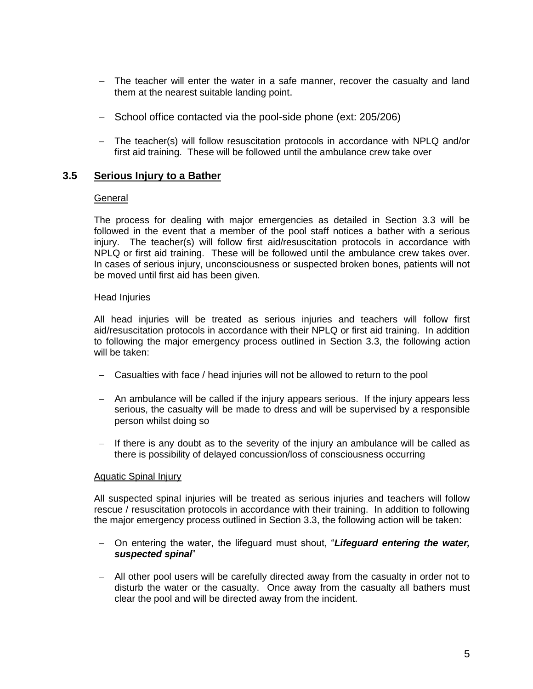- − The teacher will enter the water in a safe manner, recover the casualty and land them at the nearest suitable landing point.
- − School office contacted via the pool-side phone (ext: 205/206)
- − The teacher(s) will follow resuscitation protocols in accordance with NPLQ and/or first aid training. These will be followed until the ambulance crew take over

#### **3.5 Serious Injury to a Bather**

#### General

The process for dealing with major emergencies as detailed in Section 3.3 will be followed in the event that a member of the pool staff notices a bather with a serious injury. The teacher(s) will follow first aid/resuscitation protocols in accordance with NPLQ or first aid training. These will be followed until the ambulance crew takes over. In cases of serious injury, unconsciousness or suspected broken bones, patients will not be moved until first aid has been given.

#### Head Injuries

All head injuries will be treated as serious injuries and teachers will follow first aid/resuscitation protocols in accordance with their NPLQ or first aid training. In addition to following the major emergency process outlined in Section 3.3, the following action will be taken:

- − Casualties with face / head injuries will not be allowed to return to the pool
- − An ambulance will be called if the injury appears serious. If the injury appears less serious, the casualty will be made to dress and will be supervised by a responsible person whilst doing so
- − If there is any doubt as to the severity of the injury an ambulance will be called as there is possibility of delayed concussion/loss of consciousness occurring

#### Aquatic Spinal Injury

All suspected spinal injuries will be treated as serious injuries and teachers will follow rescue / resuscitation protocols in accordance with their training. In addition to following the major emergency process outlined in Section 3.3, the following action will be taken:

- − On entering the water, the lifeguard must shout, "*Lifeguard entering the water, suspected spinal*"
- − All other pool users will be carefully directed away from the casualty in order not to disturb the water or the casualty. Once away from the casualty all bathers must clear the pool and will be directed away from the incident.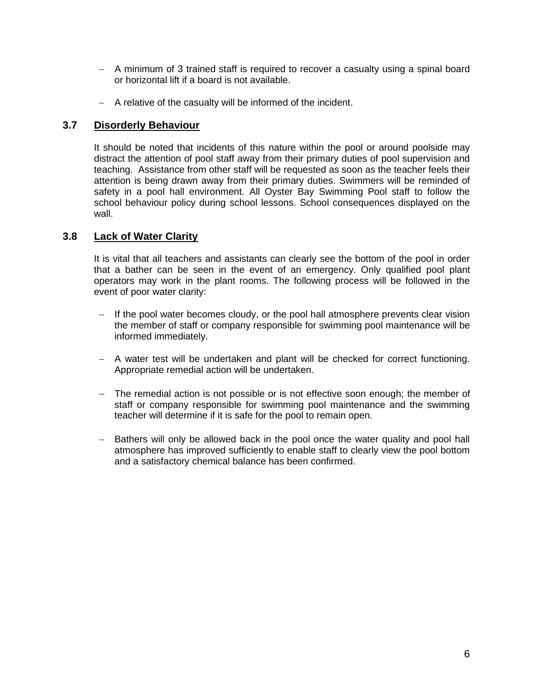- − A minimum of 3 trained staff is required to recover a casualty using a spinal board or horizontal lift if a board is not available.
- − A relative of the casualty will be informed of the incident.

#### **3.7 Disorderly Behaviour**

It should be noted that incidents of this nature within the pool or around poolside may distract the attention of pool staff away from their primary duties of pool supervision and teaching. Assistance from other staff will be requested as soon as the teacher feels their attention is being drawn away from their primary duties. Swimmers will be reminded of safety in a pool hall environment. All Oyster Bay Swimming Pool staff to follow the school behaviour policy during school lessons. School consequences displayed on the wall.

#### **3.8 Lack of Water Clarity**

It is vital that all teachers and assistants can clearly see the bottom of the pool in order that a bather can be seen in the event of an emergency. Only qualified pool plant operators may work in the plant rooms. The following process will be followed in the event of poor water clarity:

- − If the pool water becomes cloudy, or the pool hall atmosphere prevents clear vision the member of staff or company responsible for swimming pool maintenance will be informed immediately.
- − A water test will be undertaken and plant will be checked for correct functioning. Appropriate remedial action will be undertaken.
- − The remedial action is not possible or is not effective soon enough; the member of staff or company responsible for swimming pool maintenance and the swimming teacher will determine if it is safe for the pool to remain open.
- − Bathers will only be allowed back in the pool once the water quality and pool hall atmosphere has improved sufficiently to enable staff to clearly view the pool bottom and a satisfactory chemical balance has been confirmed.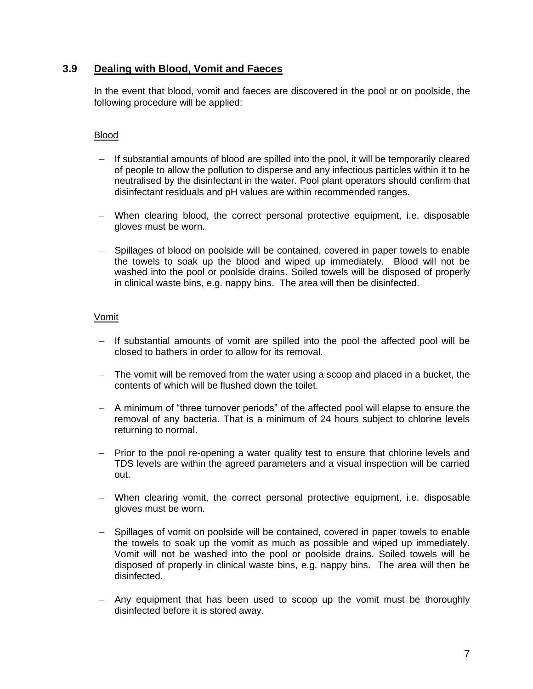#### **3.9 Dealing with Blood, Vomit and Faeces**

In the event that blood, vomit and faeces are discovered in the pool or on poolside, the following procedure will be applied:

#### Blood

- − If substantial amounts of blood are spilled into the pool, it will be temporarily cleared of people to allow the pollution to disperse and any infectious particles within it to be neutralised by the disinfectant in the water. Pool plant operators should confirm that disinfectant residuals and pH values are within recommended ranges.
- − When clearing blood, the correct personal protective equipment, i.e. disposable gloves must be worn.
- − Spillages of blood on poolside will be contained, covered in paper towels to enable the towels to soak up the blood and wiped up immediately. Blood will not be washed into the pool or poolside drains. Soiled towels will be disposed of properly in clinical waste bins, e.g. nappy bins. The area will then be disinfected.

#### Vomit

- − If substantial amounts of vomit are spilled into the pool the affected pool will be closed to bathers in order to allow for its removal.
- − The vomit will be removed from the water using a scoop and placed in a bucket, the contents of which will be flushed down the toilet.
- − A minimum of "three turnover periods" of the affected pool will elapse to ensure the removal of any bacteria. That is a minimum of 24 hours subject to chlorine levels returning to normal.
- − Prior to the pool re-opening a water quality test to ensure that chlorine levels and TDS levels are within the agreed parameters and a visual inspection will be carried out.
- − When clearing vomit, the correct personal protective equipment, i.e. disposable gloves must be worn.
- − Spillages of vomit on poolside will be contained, covered in paper towels to enable the towels to soak up the vomit as much as possible and wiped up immediately. Vomit will not be washed into the pool or poolside drains. Soiled towels will be disposed of properly in clinical waste bins, e.g. nappy bins. The area will then be disinfected.
- − Any equipment that has been used to scoop up the vomit must be thoroughly disinfected before it is stored away.